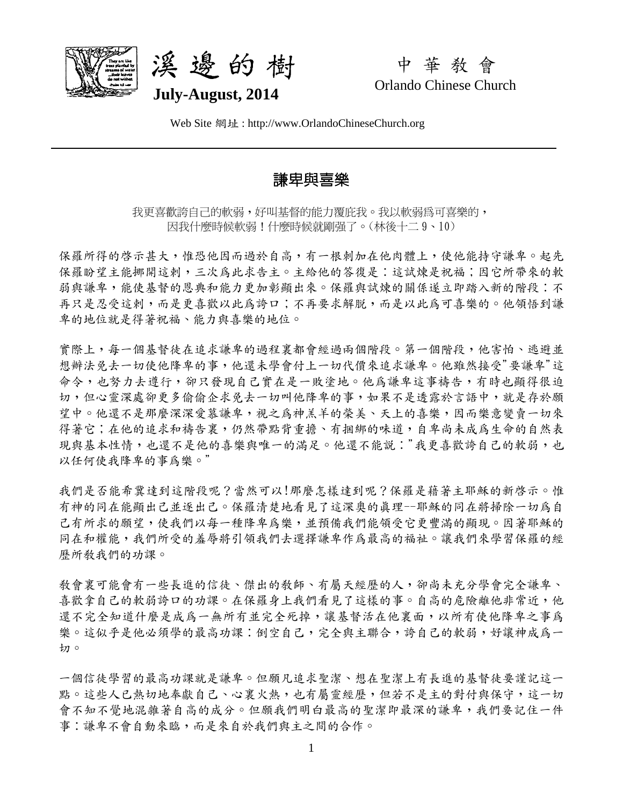



中 華 教 會 Orlando Chinese Church

Web Site 網址 : http://www.OrlandoChineseChurch.org

## 謙卑與喜樂

我更喜歡誇自己的軟弱,好叫基督的能力覆庇我。我以軟弱為可喜樂的, 因我什麼時候軟弱!什麼時候就剛強了。(林後十二 9、10)

保羅所得的啓示甚大,惟恐他因而過於自高,有一根刺加在他肉體上,使他能持守謙卑。起先 保羅盼望主能挪開這剌,三次為此求告主。主給他的答復是;這試煉是祝福;因它所帶來的軟 弱與謙卑,能使基督的恩典和能力更加彰顯出來。保羅與試煉的關係遂立即踏入新的階段:不 再只是忍受這剌,而是更喜歡以此為誇口;不再要求解脫,而是以此為可喜樂的。他領悟到謙 卑的地位就是得著祝福、能力與喜樂的地位。

實際上,每一個基督徒在追求謙卑的過程裏都會經過兩個階段。第一個階段,他害怕、逃避並 想辦法免去一切使他降卑的事,他還未學會付上一切代價來追求謙卑。他雖然接受"要謙卑"這 命令,也努力去遵行,卻只發現自己實在是一敗塗地。他為謙卑這事禱告,有時也顯得很迫 切,但心靈深處卻更多偷偷企求免去一切叫他降卑的事,如果不是透露於言語中,就是存於願 望中。他還不是那麼深深愛慕謙卑,視之爲神羔羊的榮美、天上的喜樂,因而樂意變賣一切來 得著它;在他的追求和禱告裏,仍然帶點背重擔、有捆綁的味道,自卑尚未成為生命的自然表 現與基本性情,也還不是他的喜樂與唯一的滿足。他還不能說:"我更喜歡誇自己的軟弱,也 以任何使我降卑的事為樂。"

我們是否能希冀達到這階段呢?當然可以!那麼怎樣達到呢?保羅是藉著主耶穌的新啓示。惟 有神的同在能顯出己並逐出己。保羅清楚地看見了這深奧的真理--耶穌的同在將掃除一切為自 己有所求的願望,使我們以每一種降卑為樂,並預備我們能領受它更豐滿的顯現。因著耶穌的 同在和權能,我們所受的羞辱將引領我們去選擇謙卑作為最高的福祉。讓我們來學習保羅的經 歷所教我們的功課。

教會裏可能會有一些長進的信徒、傑出的教師、有屬天經歷的人,卻尚未充分學會完全謙卑、 喜歡拿自己的軟弱誇口的功課。在保羅身上我們看見了這樣的事。自高的危險離他非常近,他 還不完全知道什麼是成為一無所有並完全死掉,讓基督活在他裏面,以所有使他降卑之事為 樂。這似乎是他必須學的最高功課:倒空自己,完全與主聯合,誇自己的軟弱,好讓神成為一 切。

一個信徒學習的最高功課就是謙卑。但願凡追求聖潔、想在聖潔上有長進的基督徒要謹記這一 點。這些人已熱切地奉獻自己、心裏火熱,也有屬靈經歷,但若不是主的對付與保守,這一切 會不知不覺地混雜著自高的成分。但願我們明白最高的聖潔即最深的謙卑,我們要記住一件 事:謙卑不會自動來臨,而是來自於我們與主之間的合作。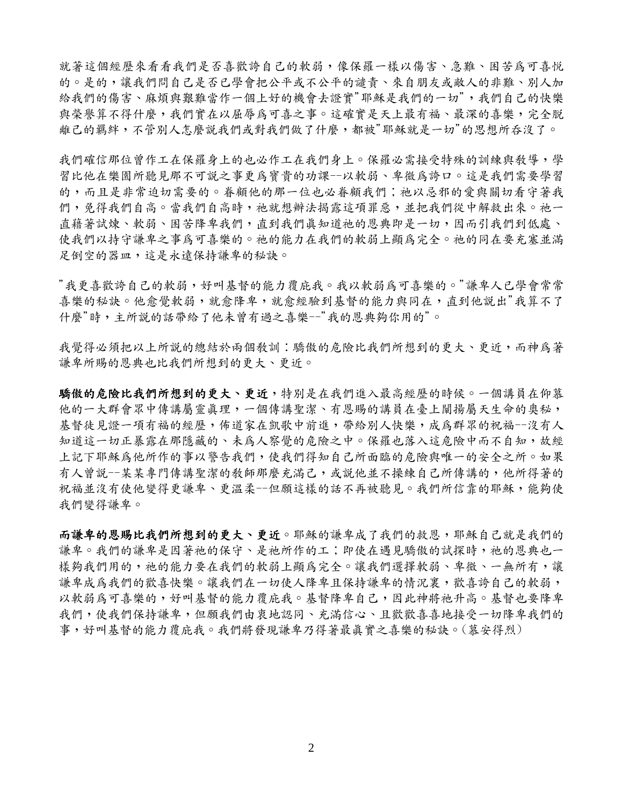就著這個經歷來看看我們是否喜歡誇自己的軟弱,像保羅一樣以傷害、急難、困苦為可喜悦 的。是的,讓我們問自己是否已學會把公平或不公平的譴責、來自朋友或敵人的非難、別人加 給我們的傷害、麻煩與艱難當作一個上好的機會去證實"耶穌是我們的一切",我們自己的快樂 與榮譽算不得什麼,我們實在以屈辱為可喜之事。這確實是天上最有福、最深的喜樂,完全脫 離己的羈絆,不管別人怎麼說我們或對我們做了什麼,都被"耶穌就是一切"的思想所吞沒了。

我們確信那位曾作工在保羅身上的也必作工在我們身上。保羅必需接受特殊的訓練與教導,學 習比他在樂園所聽見那不可說之事更為寶貴的功課--以軟弱、卑微為誇口。這是我們需要學習 的,而且是非常迫切需要的。眷顧他的那一位也必眷顧我們;祂以忌邪的愛與關切看守著我 們,兒得我們自高。當我們自高時,祂就想辦法揭露這項罪惡,並把我們從中解救出來。祂一 直藉著試煉、軟弱、困苦降卑我們,直到我們真知道祂的恩典即是一切,因而引我們到低處、 使我們以持守謙卑之事為可喜樂的。祂的能力在我們的軟弱上顯為完全。祂的同在要充塞並滿 足倒空的器皿,這是永遠保持謙卑的秘訣。

"我更喜歡誇自己的軟弱,好叫基督的能力覆庇我。我以軟弱為可喜樂的。"謙卑人已學會常常 喜樂的秘訣。他愈覺軟弱,就愈降卑,就愈經驗到基督的能力與同在,直到他說出"我算不了 什麼"時,主所說的話帶給了他未曾有過之喜樂--"我的恩典夠你用的"。

我覺得必須把以上所說的總結於兩個敎訓:驕傲的危險比我們所想到的更大、更近,而神為著 謙卑所賜的恩典也比我們所想到的更大、更近。

驕傲的危險比我們所想到的更大、更近,特別是在我們進入最高經歷的時候。一個講員在仰慕 他的一大群會眾中傳講屬靈真理,一個傳講聖潔、有恩賜的講員在臺上闡揚屬天生命的奧秘, 基督徒見證一項有福的經歷,佈道家在凱歌中前進,帶給別人快樂,成為群眾的祝福--沒有人 知道這一切正暴露在那隱藏的、未爲人察覺的危險之中。保羅也落入這危險中而不自知,故經 上記下耶穌為他所作的事以警告我們,使我們得知自己所面臨的危險與唯一的安全之所。如果 有人曾説--某某專門傳講聖潔的教師那麼充滿己,或說他並不操練自己所傳講的,他所得著的 祝福並沒有使他變得更謙卑、更溫柔--但願這樣的話不再被聽見。我們所信靠的耶穌,能夠使 我們變得謙卑。

而謙卑的恩賜比我們所想到的更大、更近。耶穌的謙卑成了我們的救恩,耶穌自己就是我們的 謙卑。我們的謙卑是因著祂的保守、是祂所作的工;即使在遇見驕傲的試探時,祂的恩典也一 樣夠我們用的,祂的能力要在我們的軟弱上顯為完全。讓我們選擇軟弱、卑微、一無所有,讓 謙卑成為我們的歡喜快樂。讓我們在一切使人降卑且保持謙卑的情況裏,歡喜誇自己的軟弱, 以軟弱為可喜樂的,好叫基督的能力覆庇我。基督降卑自己,因此神將祂升高。基督也要降卑 我們,使我們保持謙卑,但願我們由衷地認同、充滿信心、且歡歡喜喜地接受一切降卑我們的 事,好叫基督的能力覆庇我。我們將發現謙卑乃得著最真實之喜樂的秘訣。(慕安得烈)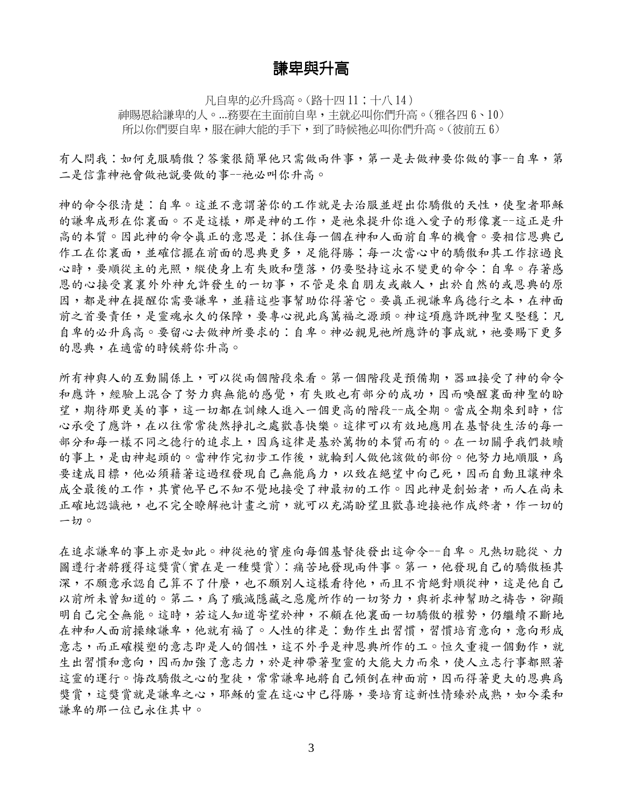## 謙卑與升高

凡自卑的必升為高。(路十四 11;十八 14) 神賜恩給謙卑的人。...務要在主面前自卑,主就必叫你們升高。(雅各四 6、10) 所以你們要自卑,服在神大能的手下,到了時候祂必叫你們升高。(彼前五 6)

有人問我:如何克服驕傲?答案很簡單他只需做兩件事,第一是去做神要你做的事--自卑,第 二是信靠神祂會做祂說要做的事--祂必叫你升高。

神的命令很清楚:自卑。這並不意謂著你的工作就是去治服並趕出你驕傲的天性,使聖者耶穌 的謙卑成形在你裏面。不是這樣,那是神的工作,是祂來提升你進入愛子的形像裏--這正是升 高的本質。因此神的命令真正的意思是:抓住每一個在神和人面前自卑的機會。要相信恩典已 作工在你裏面,並確信擺在前面的恩典更多,足能得勝;每一次當心中的驕傲和其工作掠過良 心時,要順從主的光照,縱使身上有失敗和墮落,仍要堅持這永不變更的命令:自卑。存著感 恩的心接受裏裏外沖允許發生的一切事,不管是來自朋友或敵人,出於自然的或恩典的原 因,都是神在提醒你需要謙卑,並藉這些事幫助你得著它。要真正視謙卑為德行之本,在神面 前之首要責任,是靈魂永久的保障,要專心視此為萬福之源頭。神這項應許既神聖又堅穩︰凡 自卑的必升為高。要留心去做神所要求的:自卑。神必親見祂所應許的事成就,祂要賜下更多 的恩典,在適當的時候將你升高。

所有神與人的互動關係上,可以從兩個階段來看。第一個階段是預備期,器皿接受了神的命令 和應許,經驗上混合了努力與無能的感覺,有失敗也有部分的成功,因而喚醒裏面神聖的盼 望,期待那更美的事,這一切都在訓練人進入一個更高的階段--成全期。當成全期來到時,信 心承受了應許,在以往常常徒然掙扎之處歡喜快樂。這律可以有效地應用在基督徒生活的每一 部分和每一樣不同之德行的追求上,因為這律是基於萬物的本質而有的。在一切關乎我們救贖 的事上,是由神起頭的。當神作完初步工作後,就輪到人做他該做的部份。他努力地順服,為 要達成目標,他必須藉著這過程發現自己無能為力,以致在絕望中向己死,因而自動且讓神來 成全最後的工作,其實他早已不知不覺地接受了神最初的工作。因此神是創始者,而人在尚未 正確地認識祂,也不完全瞭解祂計畫之前,就可以充滿盼望且歡喜迎接祂作成終者,作一切的 一切。

在追求謙卑的事上亦是如此。神從祂的寶座向每個基督徒發出這命令--自卑。凡熱切聽從、力 圖遵行者將獲得這獎賞(實在是一種獎賞):痛苦地發現兩件事。第一,他發現自己的驕傲極其 深,不願意承認自己算不了什麼,也不願別人這樣看待他,而且不肯絕對順從神,這是他自己 以前所未曾知道的。第二,為了殲滅隱藏之惡魔所作的一切努力,與祈求神幫助之禱告,卻顯 明自己完全無能。這時,若這人知道寄望於神,不顧在他裏面一切驕傲的權勢,仍繼續不斷地 在神和人面前操練謙卑,他就有福了。人性的律是:動作生出習慣,習慣培育意向,意向形成 意志,而正確模塑的意志即是人的個性,這不外乎是神恩典所作的工。恒久重複一個動作,就 生出習慣和意向,因而加強了意志力,於是神帶著聖靈的大能大力而來,使人立志行事都照著 這靈的運行。悔改驕傲之心的聖徒,常常謙卑地將自己傾倒在神面前,因而得著更大的恩典為 獎賞,這獎賞就是謙卑之心,耶穌的靈在這心中已得勝,要培育這新性情臻於成熟,如今柔和 謙卑的那一位已永住其中。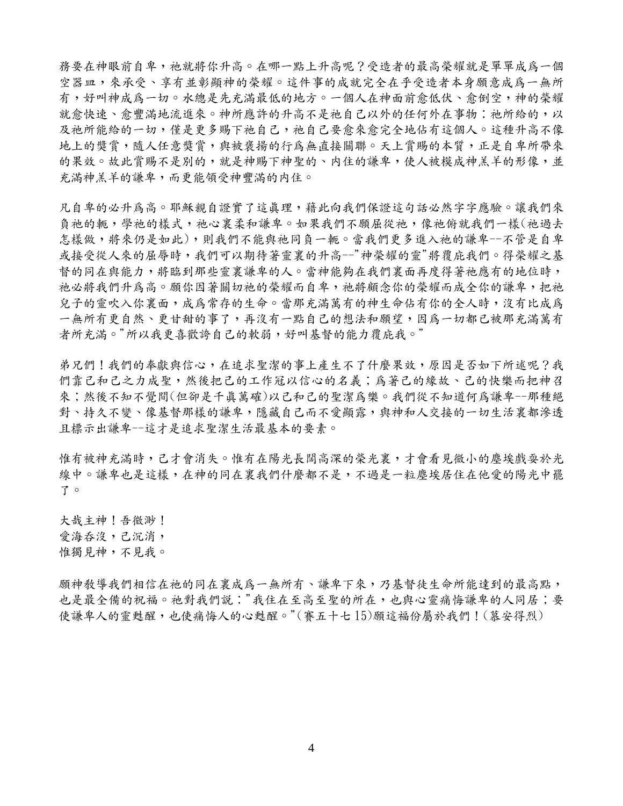務要在神眼前自卑,祂就將你升高。在哪一點上升高呢?受造者的最高榮耀就是單單成為一個 空器皿,來承承受、享有並彰顯神的榮耀。這件事的成就完全在乎受造者本身願意成為一無所 有,好叫神成為一切。水總是先充滿最低的地方。一個人在神面前愈低伏、愈倒空,神的榮耀 就愈快速、愈豐滿地流進來。神所應許的升高不是祂自己以外的任何外在事物:祂所給的,以 及祂所能給的一切,懂是更多賜下祂自己,祂自己要愈來愈完全地佔有這個人。這種升高不像 地上的獎賞,隨人任意獎賞,與被褒揚的行為無直接關聯。天上賞賜的本質,正是自卑所帶來 的果效。故此賞賜不是別的,就是神賜下神聖的、内住的謙卑,使人被模成神羔羊的形像,並 充滿神羔羊的謙卑,而更能領受神豐滿的內住。

几自卑的必升為高。耶穌親自證實了這真理,藉此向我們保證這句話必然字字應驗。讓我們來 負祂的軛,學祂的樣式,祂心裏柔和謙卑。如果我們不願屈從祂,像祂俯就我們一樣(祂過去 怎樣做,將來仍是如此),則我們不能與祂同負一軛。當我們更多進入祂的謙卑--不管是自卑 或接受從人來的屈辱時,我們可以期待著靈裏的升高--"神榮耀的靈"將覆庇我們。得榮耀之基 督的同在與能力,將臨到那些靈裏謙卑的人。當神能夠在我們裏面再度得著祂應有的地位時, 祂必將我們升為高。願你因著關切祂的榮耀而自卑,祂將顧念你的榮耀而成全你的謙卑,把祂 兒子的靈吹入你裏面,成為常存的生命。當那充滿萬有的神生命佔有你的全人時,沒有比成為 一無所有更自然、更甘甜的事了,再沒有一點自己的想法和願望,因為一切都已被那充滿萬有 者所充滿。"所以我更喜歡誇自己的軟弱,好叫基督的能力覆庇我。"

弟兄們!我們的奉獻與信心,在追求聖潔的事上產生不了什麼果效,原因是否如下所述呢?我 們靠己和己之力成聖,然後把己的工作冠以信心的名義;為著己的緣故、己的快樂而把神召 來;然後不知不覺間(但卻是千真萬確)以己和己的聖潔為樂。我們從不知道何為謙卑--那種絕 對、持久不變、像基督那樣的謙卑,隱藏自己而不愛顯露,與神和人交接的一切生活裏都滲透 且標示出謙卑--這才是追求聖潔生活最基本的要素。

惟有被神充滿時,己才會消失。惟有在陽光長闊高深的榮光裏,才會看見微小的塵埃戲耍於光 線中。謙卑也是這樣,在神的同在裏我們什麼都不是,不過是一粒塵埃居住在他愛的陽光中罷 了。

大哉主神!吾微渺! 愛海吞沒,己沉消, 惟獨見神,不見我。

願神教導我們相信在祂的同在裏成為一無所有、謙卑下來,乃基督徒生命所能達到的最高點, 也是最全備的祝福。祂對我們說:"我住在至高至聖的所在,也與心靈痛悔謙卑的人同居;要 使謙卑人的靈甦醒,也使痛悔人的心甦醒。"(賽五十七15)願這福份屬於我們!(慕安得烈)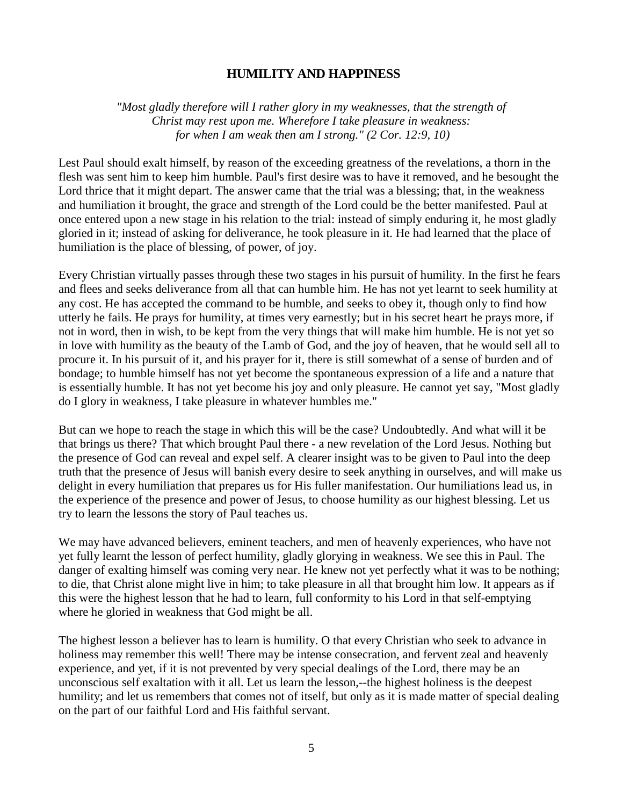## **HUMILITY AND HAPPINESS**

*"Most gladly therefore will I rather glory in my weaknesses, that the strength of Christ may rest upon me. Wherefore I take pleasure in weakness: for when I am weak then am I strong." (2 Cor. 12:9, 10)* 

Lest Paul should exalt himself, by reason of the exceeding greatness of the revelations, a thorn in the flesh was sent him to keep him humble. Paul's first desire was to have it removed, and he besought the Lord thrice that it might depart. The answer came that the trial was a blessing; that, in the weakness and humiliation it brought, the grace and strength of the Lord could be the better manifested. Paul at once entered upon a new stage in his relation to the trial: instead of simply enduring it, he most gladly gloried in it; instead of asking for deliverance, he took pleasure in it. He had learned that the place of humiliation is the place of blessing, of power, of joy.

Every Christian virtually passes through these two stages in his pursuit of humility. In the first he fears and flees and seeks deliverance from all that can humble him. He has not yet learnt to seek humility at any cost. He has accepted the command to be humble, and seeks to obey it, though only to find how utterly he fails. He prays for humility, at times very earnestly; but in his secret heart he prays more, if not in word, then in wish, to be kept from the very things that will make him humble. He is not yet so in love with humility as the beauty of the Lamb of God, and the joy of heaven, that he would sell all to procure it. In his pursuit of it, and his prayer for it, there is still somewhat of a sense of burden and of bondage; to humble himself has not yet become the spontaneous expression of a life and a nature that is essentially humble. It has not yet become his joy and only pleasure. He cannot yet say, "Most gladly do I glory in weakness, I take pleasure in whatever humbles me."

But can we hope to reach the stage in which this will be the case? Undoubtedly. And what will it be that brings us there? That which brought Paul there - a new revelation of the Lord Jesus. Nothing but the presence of God can reveal and expel self. A clearer insight was to be given to Paul into the deep truth that the presence of Jesus will banish every desire to seek anything in ourselves, and will make us delight in every humiliation that prepares us for His fuller manifestation. Our humiliations lead us, in the experience of the presence and power of Jesus, to choose humility as our highest blessing. Let us try to learn the lessons the story of Paul teaches us.

We may have advanced believers, eminent teachers, and men of heavenly experiences, who have not yet fully learnt the lesson of perfect humility, gladly glorying in weakness. We see this in Paul. The danger of exalting himself was coming very near. He knew not yet perfectly what it was to be nothing; to die, that Christ alone might live in him; to take pleasure in all that brought him low. It appears as if this were the highest lesson that he had to learn, full conformity to his Lord in that self-emptying where he gloried in weakness that God might be all.

The highest lesson a believer has to learn is humility. O that every Christian who seek to advance in holiness may remember this well! There may be intense consecration, and fervent zeal and heavenly experience, and yet, if it is not prevented by very special dealings of the Lord, there may be an unconscious self exaltation with it all. Let us learn the lesson,--the highest holiness is the deepest humility; and let us remembers that comes not of itself, but only as it is made matter of special dealing on the part of our faithful Lord and His faithful servant.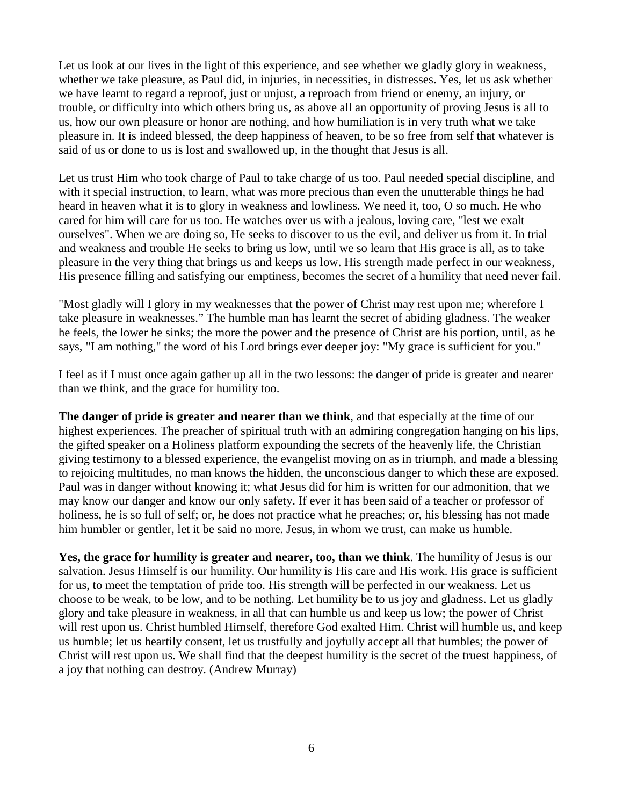Let us look at our lives in the light of this experience, and see whether we gladly glory in weakness, whether we take pleasure, as Paul did, in injuries, in necessities, in distresses. Yes, let us ask whether we have learnt to regard a reproof, just or unjust, a reproach from friend or enemy, an injury, or trouble, or difficulty into which others bring us, as above all an opportunity of proving Jesus is all to us, how our own pleasure or honor are nothing, and how humiliation is in very truth what we take pleasure in. It is indeed blessed, the deep happiness of heaven, to be so free from self that whatever is said of us or done to us is lost and swallowed up, in the thought that Jesus is all.

Let us trust Him who took charge of Paul to take charge of us too. Paul needed special discipline, and with it special instruction, to learn, what was more precious than even the unutterable things he had heard in heaven what it is to glory in weakness and lowliness. We need it, too, O so much. He who cared for him will care for us too. He watches over us with a jealous, loving care, "lest we exalt ourselves". When we are doing so, He seeks to discover to us the evil, and deliver us from it. In trial and weakness and trouble He seeks to bring us low, until we so learn that His grace is all, as to take pleasure in the very thing that brings us and keeps us low. His strength made perfect in our weakness, His presence filling and satisfying our emptiness, becomes the secret of a humility that need never fail.

"Most gladly will I glory in my weaknesses that the power of Christ may rest upon me; wherefore I take pleasure in weaknesses." The humble man has learnt the secret of abiding gladness. The weaker he feels, the lower he sinks; the more the power and the presence of Christ are his portion, until, as he says, "I am nothing," the word of his Lord brings ever deeper joy: "My grace is sufficient for you."

I feel as if I must once again gather up all in the two lessons: the danger of pride is greater and nearer than we think, and the grace for humility too.

**The danger of pride is greater and nearer than we think**, and that especially at the time of our highest experiences. The preacher of spiritual truth with an admiring congregation hanging on his lips, the gifted speaker on a Holiness platform expounding the secrets of the heavenly life, the Christian giving testimony to a blessed experience, the evangelist moving on as in triumph, and made a blessing to rejoicing multitudes, no man knows the hidden, the unconscious danger to which these are exposed. Paul was in danger without knowing it; what Jesus did for him is written for our admonition, that we may know our danger and know our only safety. If ever it has been said of a teacher or professor of holiness, he is so full of self; or, he does not practice what he preaches; or, his blessing has not made him humbler or gentler, let it be said no more. Jesus, in whom we trust, can make us humble.

**Yes, the grace for humility is greater and nearer, too, than we think**. The humility of Jesus is our salvation. Jesus Himself is our humility. Our humility is His care and His work. His grace is sufficient for us, to meet the temptation of pride too. His strength will be perfected in our weakness. Let us choose to be weak, to be low, and to be nothing. Let humility be to us joy and gladness. Let us gladly glory and take pleasure in weakness, in all that can humble us and keep us low; the power of Christ will rest upon us. Christ humbled Himself, therefore God exalted Him. Christ will humble us, and keep us humble; let us heartily consent, let us trustfully and joyfully accept all that humbles; the power of Christ will rest upon us. We shall find that the deepest humility is the secret of the truest happiness, of a joy that nothing can destroy. (Andrew Murray)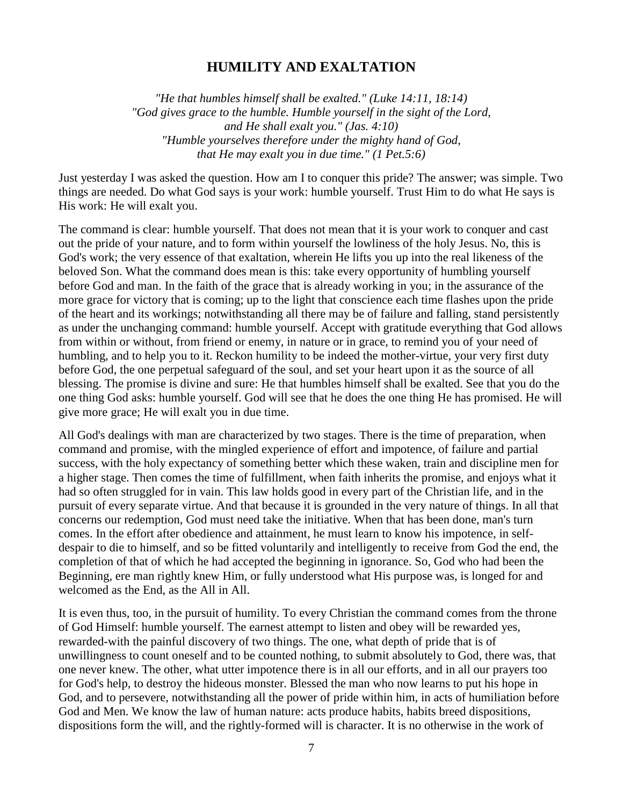## **HUMILITY AND EXALTATION**

*"He that humbles himself shall be exalted." (Luke 14:11, 18:14) "God gives grace to the humble. Humble yourself in the sight of the Lord, and He shall exalt you." (Jas. 4:10) "Humble yourselves therefore under the mighty hand of God, that He may exalt you in due time." (1 Pet.5:6)* 

Just yesterday I was asked the question. How am I to conquer this pride? The answer; was simple. Two things are needed. Do what God says is your work: humble yourself. Trust Him to do what He says is His work: He will exalt you.

The command is clear: humble yourself. That does not mean that it is your work to conquer and cast out the pride of your nature, and to form within yourself the lowliness of the holy Jesus. No, this is God's work; the very essence of that exaltation, wherein He lifts you up into the real likeness of the beloved Son. What the command does mean is this: take every opportunity of humbling yourself before God and man. In the faith of the grace that is already working in you; in the assurance of the more grace for victory that is coming; up to the light that conscience each time flashes upon the pride of the heart and its workings; notwithstanding all there may be of failure and falling, stand persistently as under the unchanging command: humble yourself. Accept with gratitude everything that God allows from within or without, from friend or enemy, in nature or in grace, to remind you of your need of humbling, and to help you to it. Reckon humility to be indeed the mother-virtue, your very first duty before God, the one perpetual safeguard of the soul, and set your heart upon it as the source of all blessing. The promise is divine and sure: He that humbles himself shall be exalted. See that you do the one thing God asks: humble yourself. God will see that he does the one thing He has promised. He will give more grace; He will exalt you in due time.

All God's dealings with man are characterized by two stages. There is the time of preparation, when command and promise, with the mingled experience of effort and impotence, of failure and partial success, with the holy expectancy of something better which these waken, train and discipline men for a higher stage. Then comes the time of fulfillment, when faith inherits the promise, and enjoys what it had so often struggled for in vain. This law holds good in every part of the Christian life, and in the pursuit of every separate virtue. And that because it is grounded in the very nature of things. In all that concerns our redemption, God must need take the initiative. When that has been done, man's turn comes. In the effort after obedience and attainment, he must learn to know his impotence, in selfdespair to die to himself, and so be fitted voluntarily and intelligently to receive from God the end, the completion of that of which he had accepted the beginning in ignorance. So, God who had been the Beginning, ere man rightly knew Him, or fully understood what His purpose was, is longed for and welcomed as the End, as the All in All.

It is even thus, too, in the pursuit of humility. To every Christian the command comes from the throne of God Himself: humble yourself. The earnest attempt to listen and obey will be rewarded yes, rewarded-with the painful discovery of two things. The one, what depth of pride that is of unwillingness to count oneself and to be counted nothing, to submit absolutely to God, there was, that one never knew. The other, what utter impotence there is in all our efforts, and in all our prayers too for God's help, to destroy the hideous monster. Blessed the man who now learns to put his hope in God, and to persevere, notwithstanding all the power of pride within him, in acts of humiliation before God and Men. We know the law of human nature: acts produce habits, habits breed dispositions, dispositions form the will, and the rightly-formed will is character. It is no otherwise in the work of